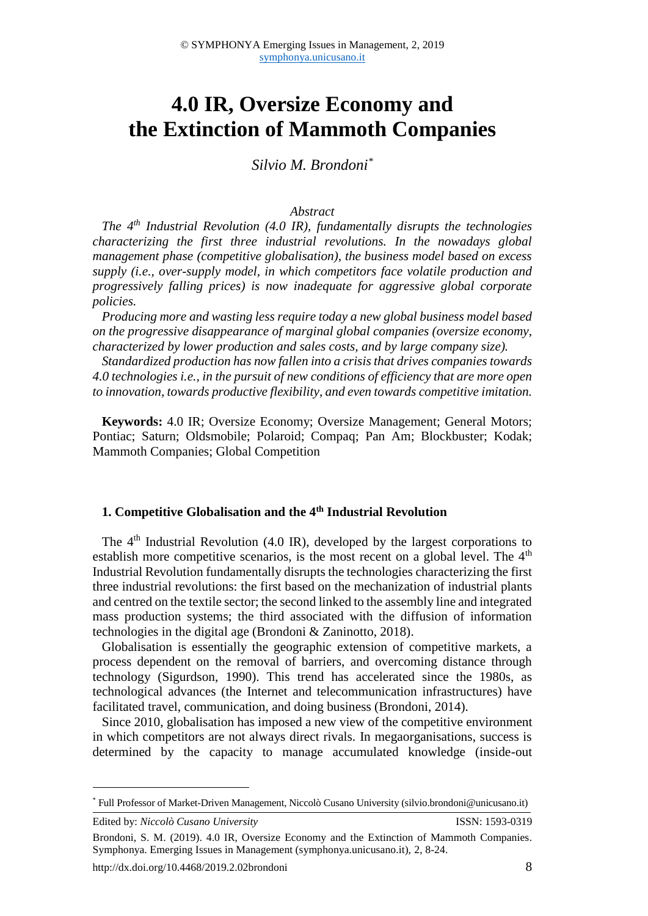# **4.0 IR, Oversize Economy and the Extinction of Mammoth Companies**

*Silvio M. Brondoni\**

#### *Abstract*

*The 4th Industrial Revolution (4.0 IR), fundamentally disrupts the technologies characterizing the first three industrial revolutions. In the nowadays global management phase (competitive globalisation), the business model based on excess supply (i.e., over-supply model, in which competitors face volatile production and progressively falling prices) is now inadequate for aggressive global corporate policies.* 

*Producing more and wasting less require today a new global business model based on the progressive disappearance of marginal global companies (oversize economy, characterized by lower production and sales costs, and by large company size).* 

*Standardized production has now fallen into a crisis that drives companies towards 4.0 technologies i.e., in the pursuit of new conditions of efficiency that are more open to innovation, towards productive flexibility, and even towards competitive imitation.*

**Keywords:** 4.0 IR; Oversize Economy; Oversize Management; General Motors; Pontiac; Saturn; Oldsmobile; Polaroid; Compaq; Pan Am; Blockbuster; Kodak; Mammoth Companies; Global Competition

### **1. Competitive Globalisation and the 4th Industrial Revolution**

The  $4<sup>th</sup>$  Industrial Revolution (4.0 IR), developed by the largest corporations to establish more competitive scenarios, is the most recent on a global level. The  $4<sup>th</sup>$ Industrial Revolution fundamentally disrupts the technologies characterizing the first three industrial revolutions: the first based on the mechanization of industrial plants and centred on the textile sector; the second linked to the assembly line and integrated mass production systems; the third associated with the diffusion of information technologies in the digital age (Brondoni & Zaninotto, 2018).

Globalisation is essentially the geographic extension of competitive markets, a process dependent on the removal of barriers, and overcoming distance through technology (Sigurdson, 1990). This trend has accelerated since the 1980s, as technological advances (the Internet and telecommunication infrastructures) have facilitated travel, communication, and doing business (Brondoni, 2014).

Since 2010, globalisation has imposed a new view of the competitive environment in which competitors are not always direct rivals. In megaorganisations, success is determined by the capacity to manage accumulated knowledge (inside-out

1

<sup>\*</sup> Full Professor of Market-Driven Management, Niccolò Cusano University (silvio.brondoni@unicusano.it)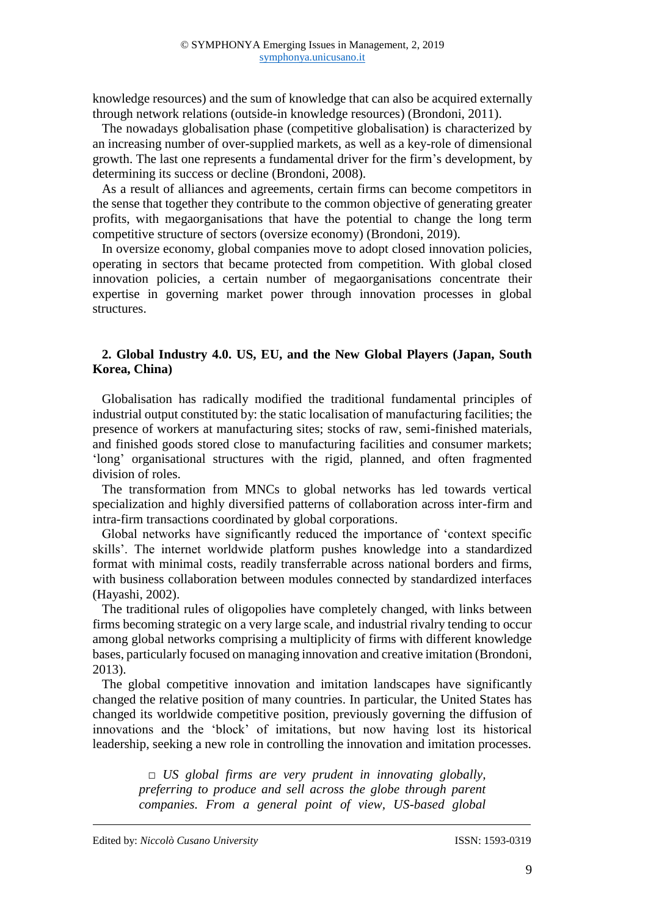knowledge resources) and the sum of knowledge that can also be acquired externally through network relations (outside-in knowledge resources) (Brondoni, 2011).

The nowadays globalisation phase (competitive globalisation) is characterized by an increasing number of over-supplied markets, as well as a key-role of dimensional growth. The last one represents a fundamental driver for the firm's development, by determining its success or decline (Brondoni, 2008).

As a result of alliances and agreements, certain firms can become competitors in the sense that together they contribute to the common objective of generating greater profits, with megaorganisations that have the potential to change the long term competitive structure of sectors (oversize economy) (Brondoni, 2019).

In oversize economy, global companies move to adopt closed innovation policies, operating in sectors that became protected from competition. With global closed innovation policies, a certain number of megaorganisations concentrate their expertise in governing market power through innovation processes in global structures.

### **2. Global Industry 4.0. US, EU, and the New Global Players (Japan, South Korea, China)**

Globalisation has radically modified the traditional fundamental principles of industrial output constituted by: the static localisation of manufacturing facilities; the presence of workers at manufacturing sites; stocks of raw, semi-finished materials, and finished goods stored close to manufacturing facilities and consumer markets; 'long' organisational structures with the rigid, planned, and often fragmented division of roles.

The transformation from MNCs to global networks has led towards vertical specialization and highly diversified patterns of collaboration across inter-firm and intra-firm transactions coordinated by global corporations.

Global networks have significantly reduced the importance of 'context specific skills'. The internet worldwide platform pushes knowledge into a standardized format with minimal costs, readily transferrable across national borders and firms, with business collaboration between modules connected by standardized interfaces (Hayashi, 2002).

The traditional rules of oligopolies have completely changed, with links between firms becoming strategic on a very large scale, and industrial rivalry tending to occur among global networks comprising a multiplicity of firms with different knowledge bases, particularly focused on managing innovation and creative imitation (Brondoni, 2013).

The global competitive innovation and imitation landscapes have significantly changed the relative position of many countries. In particular, the United States has changed its worldwide competitive position, previously governing the diffusion of innovations and the 'block' of imitations, but now having lost its historical leadership, seeking a new role in controlling the innovation and imitation processes.

> *□ US global firms are very prudent in innovating globally, preferring to produce and sell across the globe through parent companies. From a general point of view, US-based global*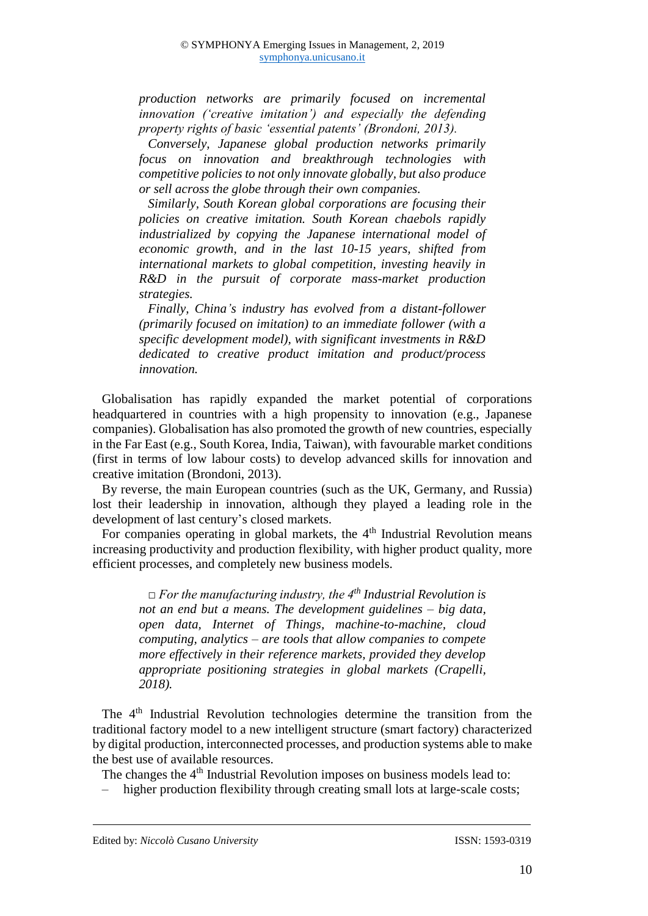*production networks are primarily focused on incremental innovation ('creative imitation') and especially the defending property rights of basic 'essential patents' (Brondoni, 2013).*

*Conversely, Japanese global production networks primarily focus on innovation and breakthrough technologies with competitive policies to not only innovate globally, but also produce or sell across the globe through their own companies.*

*Similarly, South Korean global corporations are focusing their policies on creative imitation. South Korean chaebols rapidly industrialized by copying the Japanese international model of economic growth, and in the last 10-15 years, shifted from international markets to global competition, investing heavily in R&D in the pursuit of corporate mass-market production strategies.*

*Finally, China's industry has evolved from a distant-follower (primarily focused on imitation) to an immediate follower (with a specific development model), with significant investments in R&D dedicated to creative product imitation and product/process innovation.*

Globalisation has rapidly expanded the market potential of corporations headquartered in countries with a high propensity to innovation (e.g., Japanese companies). Globalisation has also promoted the growth of new countries, especially in the Far East (e.g., South Korea, India, Taiwan), with favourable market conditions (first in terms of low labour costs) to develop advanced skills for innovation and creative imitation (Brondoni, 2013).

By reverse, the main European countries (such as the UK, Germany, and Russia) lost their leadership in innovation, although they played a leading role in the development of last century's closed markets.

For companies operating in global markets, the  $4<sup>th</sup>$  Industrial Revolution means increasing productivity and production flexibility, with higher product quality, more efficient processes, and completely new business models.

> *□ For the manufacturing industry, the 4th Industrial Revolution is not an end but a means. The development guidelines – big data, open data, Internet of Things, machine-to-machine, cloud computing, analytics – are tools that allow companies to compete more effectively in their reference markets, provided they develop appropriate positioning strategies in global markets (Crapelli, 2018).*

The 4<sup>th</sup> Industrial Revolution technologies determine the transition from the traditional factory model to a new intelligent structure (smart factory) characterized by digital production, interconnected processes, and production systems able to make the best use of available resources.

The changes the  $4<sup>th</sup>$  Industrial Revolution imposes on business models lead to:

- higher production flexibility through creating small lots at large-scale costs;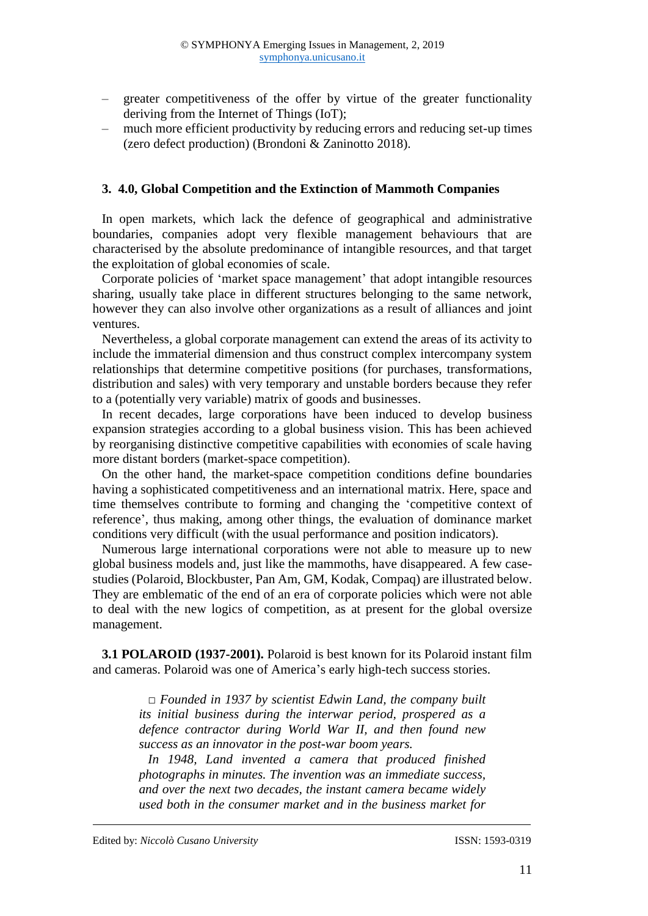- ‒ greater competitiveness of the offer by virtue of the greater functionality deriving from the Internet of Things (IoT);
- ‒ much more efficient productivity by reducing errors and reducing set-up times (zero defect production) (Brondoni & Zaninotto 2018).

#### **3. 4.0, Global Competition and the Extinction of Mammoth Companies**

In open markets, which lack the defence of geographical and administrative boundaries, companies adopt very flexible management behaviours that are characterised by the absolute predominance of intangible resources, and that target the exploitation of global economies of scale.

Corporate policies of 'market space management' that adopt intangible resources sharing, usually take place in different structures belonging to the same network, however they can also involve other organizations as a result of alliances and joint ventures.

Nevertheless, a global corporate management can extend the areas of its activity to include the immaterial dimension and thus construct complex intercompany system relationships that determine competitive positions (for purchases, transformations, distribution and sales) with very temporary and unstable borders because they refer to a (potentially very variable) matrix of goods and businesses.

In recent decades, large corporations have been induced to develop business expansion strategies according to a global business vision. This has been achieved by reorganising distinctive competitive capabilities with economies of scale having more distant borders (market-space competition).

On the other hand, the market-space competition conditions define boundaries having a sophisticated competitiveness and an international matrix. Here, space and time themselves contribute to forming and changing the 'competitive context of reference', thus making, among other things, the evaluation of dominance market conditions very difficult (with the usual performance and position indicators).

Numerous large international corporations were not able to measure up to new global business models and, just like the mammoths, have disappeared. A few casestudies (Polaroid, Blockbuster, Pan Am, GM, Kodak, Compaq) are illustrated below. They are emblematic of the end of an era of corporate policies which were not able to deal with the new logics of competition, as at present for the global oversize management.

**3.1 POLAROID (1937-2001).** Polaroid is best known for its Polaroid instant film and cameras. Polaroid was one of America's early high-tech success stories.

> *□ Founded in 1937 by scientist Edwin Land, the company built its initial business during the interwar period, prospered as a defence contractor during World War II, and then found new success as an innovator in the post-war boom years.*

> *In 1948, Land invented a camera that produced finished photographs in minutes. The invention was an immediate success, and over the next two decades, the instant camera became widely used both in the consumer market and in the business market for*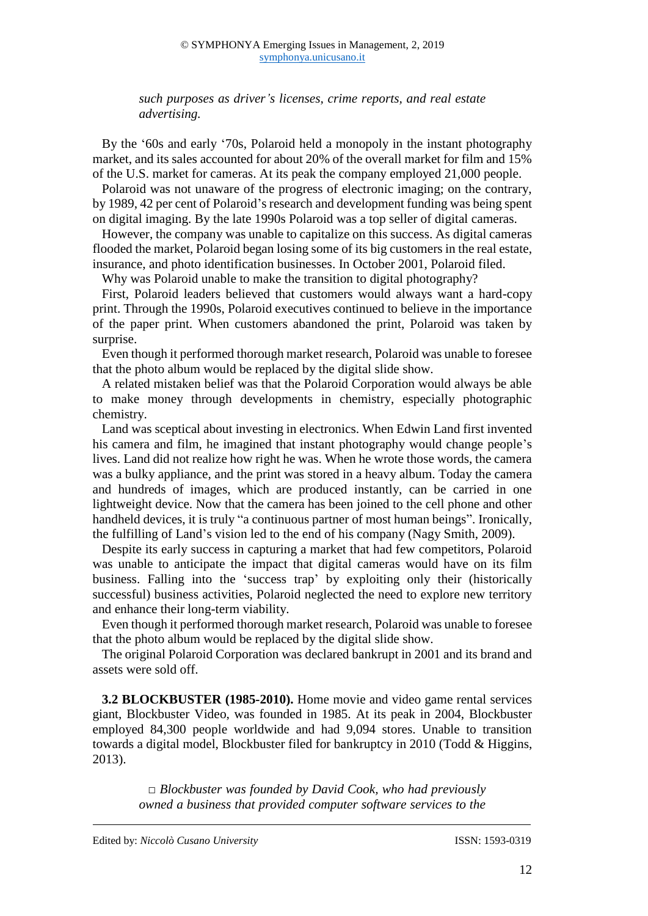*such purposes as driver's licenses, crime reports, and real estate advertising.*

By the '60s and early '70s, Polaroid held a monopoly in the instant photography market, and its sales accounted for about 20% of the overall market for film and 15% of the U.S. market for cameras. At its peak the company employed 21,000 people.

Polaroid was not unaware of the progress of electronic imaging; on the contrary, by 1989, 42 per cent of Polaroid's research and development funding was being spent on digital imaging. By the late 1990s Polaroid was a top seller of digital cameras.

However, the company was unable to capitalize on this success. As digital cameras flooded the market, Polaroid began losing some of its big customers in the real estate, insurance, and photo identification businesses. In October 2001, Polaroid filed.

Why was Polaroid unable to make the transition to digital photography?

First, Polaroid leaders believed that customers would always want a hard-copy print. Through the 1990s, Polaroid executives continued to believe in the importance of the paper print. When customers abandoned the print, Polaroid was taken by surprise.

Even though it performed thorough market research, Polaroid was unable to foresee that the photo album would be replaced by the digital slide show.

A related mistaken belief was that the Polaroid Corporation would always be able to make money through developments in chemistry, especially photographic chemistry.

Land was sceptical about investing in electronics. When Edwin Land first invented his camera and film, he imagined that instant photography would change people's lives. Land did not realize how right he was. When he wrote those words, the camera was a bulky appliance, and the print was stored in a heavy album. Today the camera and hundreds of images, which are produced instantly, can be carried in one lightweight device. Now that the camera has been joined to the cell phone and other handheld devices, it is truly "a continuous partner of most human beings". Ironically, the fulfilling of Land's vision led to the end of his company (Nagy Smith, 2009).

Despite its early success in capturing a market that had few competitors, Polaroid was unable to anticipate the impact that digital cameras would have on its film business. Falling into the 'success trap' by exploiting only their (historically successful) business activities, Polaroid neglected the need to explore new territory and enhance their long-term viability.

Even though it performed thorough market research, Polaroid was unable to foresee that the photo album would be replaced by the digital slide show.

The original Polaroid Corporation was declared bankrupt in 2001 and its brand and assets were sold off.

**3.2 BLOCKBUSTER (1985-2010).** Home movie and video game rental services giant, Blockbuster Video, was founded in 1985. At its peak in 2004, Blockbuster employed 84,300 people worldwide and had 9,094 stores. Unable to transition towards a digital model, Blockbuster filed for bankruptcy in 2010 (Todd & Higgins, 2013).

> *□ Blockbuster was founded by David Cook, who had previously owned a business that provided computer software services to the*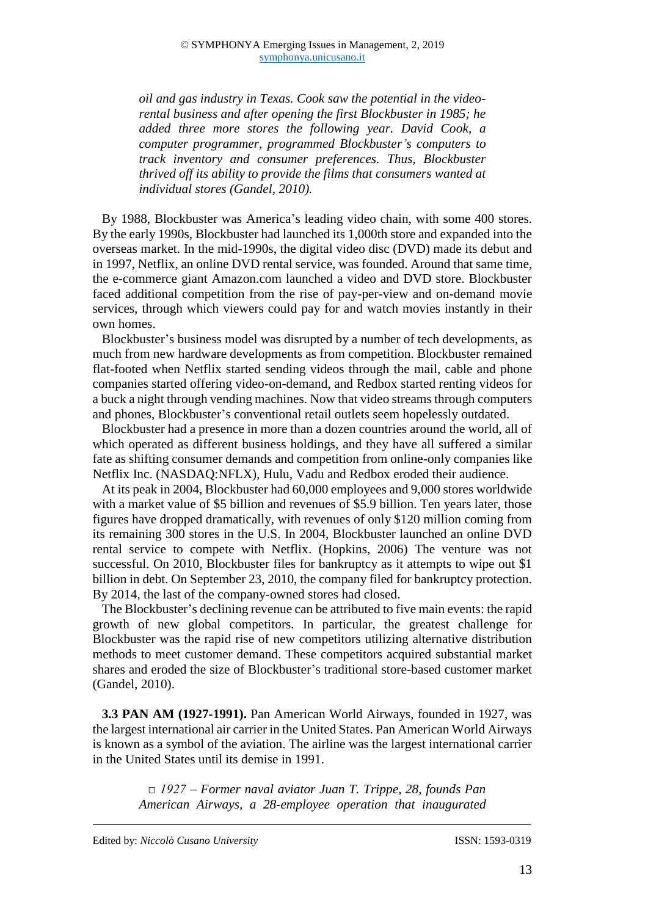*oil and gas industry in Texas. Cook saw the potential in the videorental business and after opening the first Blockbuster in 1985; he added three more stores the following year. David Cook, a computer programmer, programmed Blockbuster's computers to track inventory and consumer preferences. Thus, Blockbuster thrived off its ability to provide the films that consumers wanted at individual stores (Gandel, 2010).*

By 1988, Blockbuster was America's leading video chain, with some 400 stores. By the early 1990s, Blockbuster had launched its 1,000th store and expanded into the overseas market. In the mid-1990s, the digital video disc (DVD) made its debut and in 1997, Netflix, an online DVD rental service, was founded. Around that same time, the e-commerce giant Amazon.com launched a video and DVD store. Blockbuster faced additional competition from the rise of pay-per-view and on-demand movie services, through which viewers could pay for and watch movies instantly in their own homes.

Blockbuster's business model was disrupted by a number of tech developments, as much from new hardware developments as from competition. Blockbuster remained flat-footed when Netflix started sending videos through the mail, cable and phone companies started offering video-on-demand, and Redbox started renting videos for a buck a night through vending machines. Now that video streams through computers and phones, Blockbuster's conventional retail outlets seem hopelessly outdated.

Blockbuster had a presence in more than a dozen countries around the world, all of which operated as different business holdings, and they have all suffered a similar fate as shifting consumer demands and competition from online-only companies like Netflix Inc. (NASDAQ:NFLX), Hulu, Vadu and Redbox eroded their audience.

At its peak in 2004, Blockbuster had 60,000 employees and 9,000 stores worldwide with a market value of \$5 billion and revenues of \$5.9 billion. Ten years later, those figures have dropped dramatically, with revenues of only \$120 million coming from its remaining 300 stores in the U.S. In 2004, Blockbuster launched an online DVD rental service to compete with Netflix. (Hopkins, 2006) The venture was not successful. On 2010, Blockbuster files for bankruptcy as it attempts to wipe out \$1 billion in debt. On September 23, 2010, the company filed for bankruptcy protection. By 2014, the last of the company-owned stores had closed.

The Blockbuster's declining revenue can be attributed to five main events: the rapid growth of new global competitors. In particular, the greatest challenge for Blockbuster was the rapid rise of new competitors utilizing alternative distribution methods to meet customer demand. These competitors acquired substantial market shares and eroded the size of Blockbuster's traditional store-based customer market (Gandel, 2010).

**3.3 PAN AM (1927-1991).** Pan American World Airways, founded in 1927, was the largest international air carrier in the United States. Pan American World Airways is known as a symbol of the aviation. The airline was the largest international carrier in the United States until its demise in 1991.

> *□ 1927 – Former naval aviator Juan T. Trippe, 28, founds Pan American Airways, a 28-employee operation that inaugurated*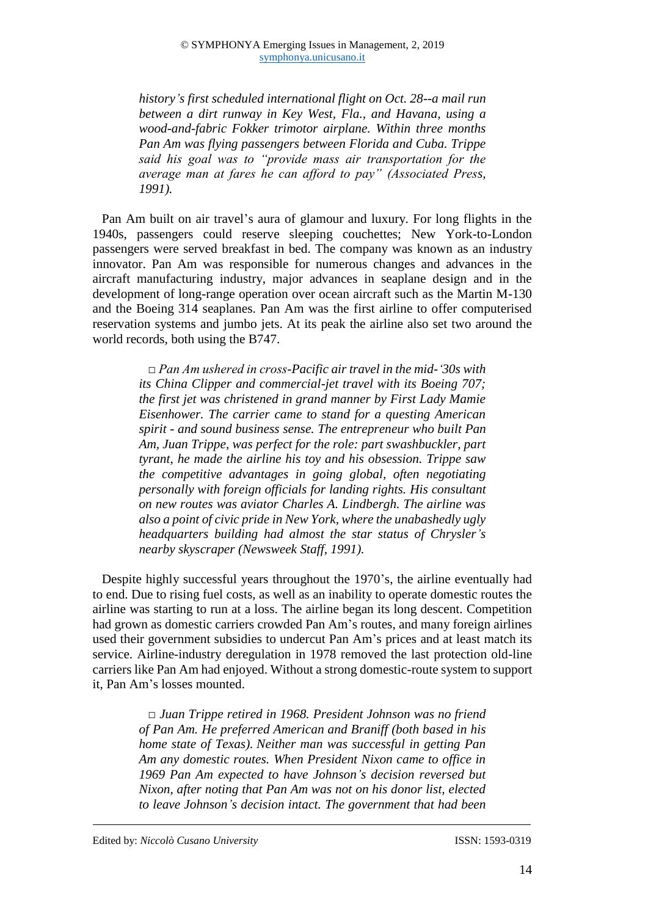*history's first scheduled international flight on Oct. 28--a mail run between a dirt runway in Key West, Fla., and Havana, using a wood-and-fabric Fokker trimotor airplane. Within three months Pan Am was flying passengers between Florida and Cuba. Trippe said his goal was to "provide mass air transportation for the average man at fares he can afford to pay" (Associated Press, 1991).*

Pan Am built on air travel's aura of glamour and luxury. For long flights in the 1940s, passengers could reserve sleeping couchettes; New York-to-London passengers were served breakfast in bed. The company was known as an industry innovator. Pan Am was responsible for numerous changes and advances in the aircraft manufacturing industry, major advances in seaplane design and in the development of long-range operation over ocean aircraft such as the Martin M-130 and the Boeing 314 seaplanes. Pan Am was the first airline to offer computerised reservation systems and jumbo jets. At its peak the airline also set two around the world records, both using the B747.

> *□ Pan Am ushered in cross-Pacific air travel in the mid-'30s with its China Clipper and commercial-jet travel with its Boeing 707; the first jet was christened in grand manner by First Lady Mamie Eisenhower. The carrier came to stand for a questing American spirit - and sound business sense. The entrepreneur who built Pan Am, Juan Trippe, was perfect for the role: part swashbuckler, part tyrant, he made the airline his toy and his obsession. Trippe saw the competitive advantages in going global, often negotiating personally with foreign officials for landing rights. His consultant on new routes was aviator Charles A. Lindbergh. The airline was also a point of civic pride in New York, where the unabashedly ugly headquarters building had almost the star status of Chrysler's nearby skyscraper (Newsweek Staff, 1991).*

Despite highly successful years throughout the 1970's, the airline eventually had to end. Due to rising fuel costs, as well as an inability to operate domestic routes the airline was starting to run at a loss. The airline began its long descent. Competition had grown as domestic carriers crowded Pan Am's routes, and many foreign airlines used their government subsidies to undercut Pan Am's prices and at least match its service. Airline-industry deregulation in 1978 removed the last protection old-line carriers like Pan Am had enjoyed. Without a strong domestic-route system to support it, Pan Am's losses mounted.

> *□ Juan Trippe retired in 1968. President Johnson was no friend of Pan Am. He preferred American and Braniff (both based in his home state of Texas). Neither man was successful in getting Pan Am any domestic routes. When President Nixon came to office in 1969 Pan Am expected to have Johnson's decision reversed but Nixon, after noting that Pan Am was not on his donor list, elected to leave Johnson's decision intact. The government that had been*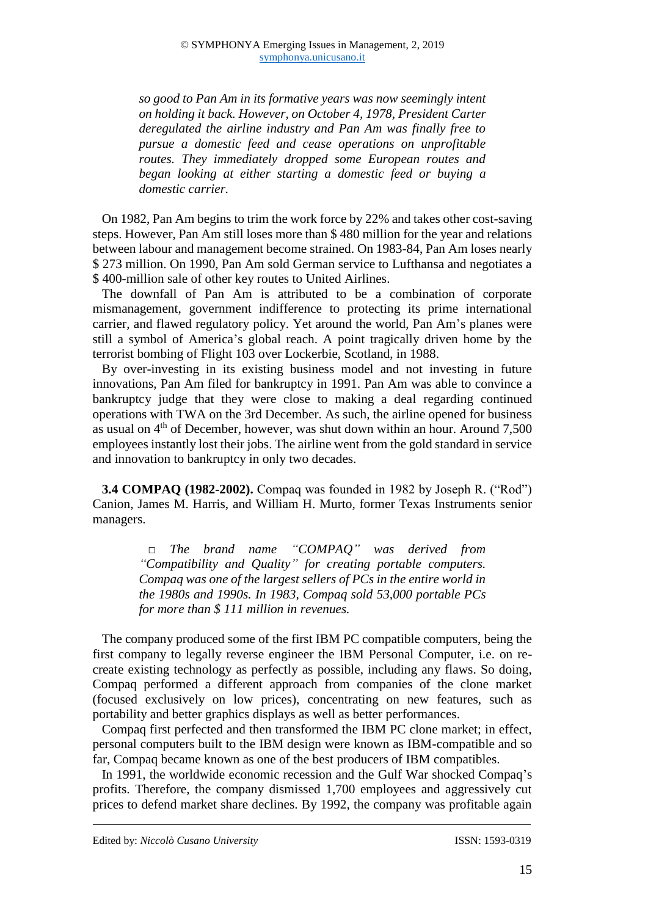*so good to Pan Am in its formative years was now seemingly intent on holding it back. However, on October 4, 1978, President Carter deregulated the airline industry and Pan Am was finally free to pursue a domestic feed and cease operations on unprofitable routes. They immediately dropped some European routes and began looking at either starting a domestic feed or buying a domestic carrier.*

On 1982, Pan Am begins to trim the work force by 22% and takes other cost-saving steps. However, Pan Am still loses more than \$ 480 million for the year and relations between labour and management become strained. On 1983-84, Pan Am loses nearly \$ 273 million. On 1990, Pan Am sold German service to Lufthansa and negotiates a \$ 400-million sale of other key routes to United Airlines.

The downfall of Pan Am is attributed to be a combination of corporate mismanagement, government indifference to protecting its prime international carrier, and flawed regulatory policy. Yet around the world, Pan Am's planes were still a symbol of America's global reach. A point tragically driven home by the terrorist bombing of Flight 103 over Lockerbie, Scotland, in 1988.

By over-investing in its existing business model and not investing in future innovations, Pan Am filed for bankruptcy in 1991. Pan Am was able to convince a bankruptcy judge that they were close to making a deal regarding continued operations with TWA on the 3rd December. As such, the airline opened for business as usual on  $4<sup>th</sup>$  of December, however, was shut down within an hour. Around 7,500 employees instantly lost their jobs. The airline went from the gold standard in service and innovation to bankruptcy in only two decades.

**3.4 COMPAQ (1982-2002).** Compaq was founded in 1982 by Joseph R. ("Rod") Canion, James M. Harris, and William H. Murto, former Texas Instruments senior managers.

*□ The brand name "COMPAQ" was derived from "Compatibility and Quality" for creating portable computers. Compaq was one of the largest sellers of PCs in the entire world in the 1980s and 1990s. In 1983, Compaq sold 53,000 portable PCs for more than \$ 111 million in revenues.*

The company produced some of the first IBM PC compatible computers, being the first company to legally reverse engineer the IBM Personal Computer, i.e. on recreate existing technology as perfectly as possible, including any flaws. So doing, Compaq performed a different approach from companies of the clone market (focused exclusively on low prices), concentrating on new features, such as portability and better graphics displays as well as better performances.

Compaq first perfected and then transformed the IBM PC clone market; in effect, personal computers built to the IBM design were known as IBM-compatible and so far, Compaq became known as one of the best producers of IBM compatibles.

In 1991, the worldwide economic recession and the Gulf War shocked Compaq's profits. Therefore, the company dismissed 1,700 employees and aggressively cut prices to defend market share declines. By 1992, the company was profitable again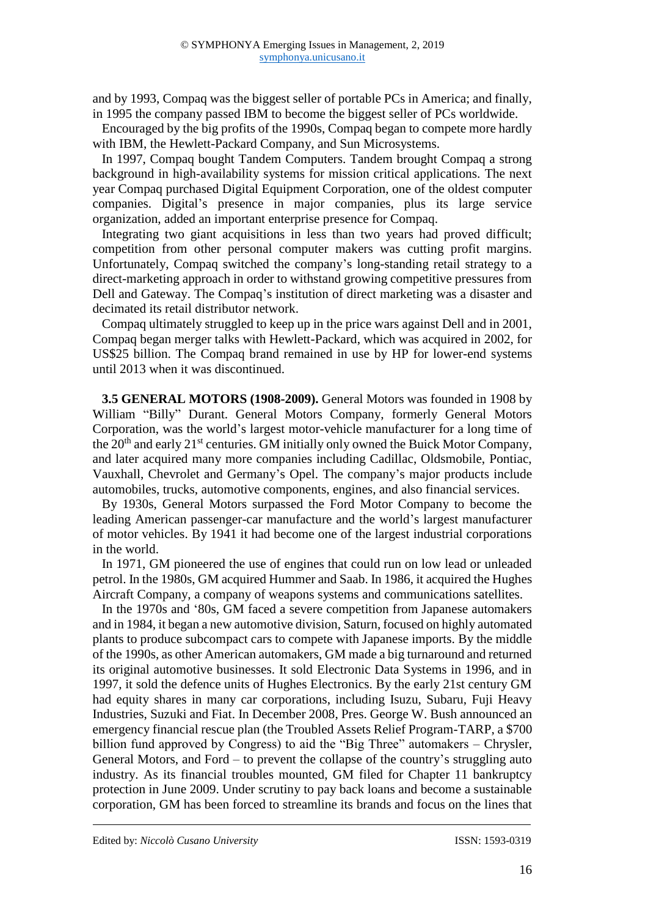and by 1993, Compaq was the biggest seller of portable PCs in America; and finally, in 1995 the company passed IBM to become the biggest seller of PCs worldwide.

Encouraged by the big profits of the 1990s, Compaq began to compete more hardly with IBM, the Hewlett-Packard Company, and Sun Microsystems.

In 1997, Compaq bought Tandem Computers. Tandem brought Compaq a strong background in high-availability systems for mission critical applications. The next year Compaq purchased Digital Equipment Corporation, one of the oldest computer companies. Digital's presence in major companies, plus its large service organization, added an important enterprise presence for Compaq.

Integrating two giant acquisitions in less than two years had proved difficult; competition from other personal computer makers was cutting profit margins. Unfortunately, Compaq switched the company's long-standing retail strategy to a direct-marketing approach in order to withstand growing competitive pressures from Dell and Gateway. The Compaq's institution of direct marketing was a disaster and decimated its retail distributor network.

Compaq ultimately struggled to keep up in the price wars against Dell and in 2001, Compaq began merger talks with Hewlett-Packard, which was acquired in 2002, for US\$25 billion. The Compaq brand remained in use by HP for lower-end systems until 2013 when it was discontinued.

**3.5 GENERAL MOTORS (1908-2009).** General Motors was founded in 1908 by William "Billy" Durant. General Motors Company, formerly General Motors Corporation, was the world's largest motor-vehicle manufacturer for a long time of the  $20<sup>th</sup>$  and early  $21<sup>st</sup>$  centuries. GM initially only owned the Buick Motor Company, and later acquired many more companies including Cadillac, Oldsmobile, Pontiac, Vauxhall, Chevrolet and Germany's Opel. The company's major products include automobiles, trucks, automotive components, engines, and also financial services.

By 1930s, General Motors surpassed the Ford Motor Company to become the leading American passenger-car manufacture and the world's largest manufacturer of motor vehicles. By 1941 it had become one of the largest industrial corporations in the world.

In 1971, GM pioneered the use of engines that could run on low lead or unleaded petrol. In the 1980s, GM acquired Hummer and Saab. In 1986, it acquired the Hughes Aircraft Company, a company of weapons systems and communications satellites.

In the 1970s and '80s, GM faced a severe competition from Japanese automakers and in 1984, it began a new automotive division, Saturn, focused on highly automated plants to produce subcompact cars to compete with Japanese imports. By the middle of the 1990s, as other American automakers, GM made a big turnaround and returned its original automotive businesses. It sold Electronic Data Systems in 1996, and in 1997, it sold the defence units of Hughes Electronics. By the early 21st century GM had equity shares in many car corporations, including Isuzu, Subaru, Fuji Heavy Industries, Suzuki and Fiat. In December 2008, Pres. George W. Bush announced an emergency financial rescue plan (the Troubled Assets Relief Program-TARP, a \$700 billion fund approved by Congress) to aid the "Big Three" automakers – Chrysler, General Motors, and Ford – to prevent the collapse of the country's struggling auto industry. As its financial troubles mounted, GM filed for Chapter 11 bankruptcy protection in June 2009. Under scrutiny to pay back loans and become a sustainable corporation, GM has been forced to streamline its brands and focus on the lines that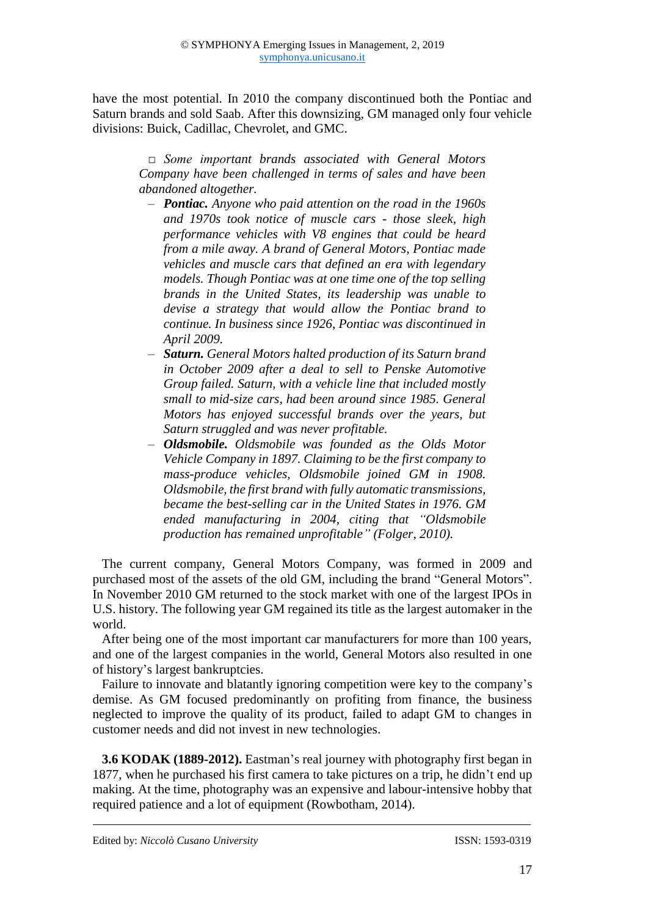have the most potential. In 2010 the company discontinued both the Pontiac and Saturn brands and sold Saab. After this downsizing, GM managed only four vehicle divisions: Buick, Cadillac, Chevrolet, and GMC.

> *□ Some important brands associated with General Motors Company have been challenged in terms of sales and have been abandoned altogether.*

- ‒ *Pontiac. Anyone who paid attention on the road in the 1960s and 1970s took notice of muscle cars - those sleek, high performance vehicles with V8 engines that could be heard from a mile away. A brand of General Motors, Pontiac made vehicles and muscle cars that defined an era with legendary models. Though Pontiac was at one time one of the top selling brands in the United States, its leadership was unable to devise a strategy that would allow the Pontiac brand to continue. In business since 1926, Pontiac was discontinued in April 2009.*
- ‒ *Saturn. General Motors halted production of its Saturn brand in October 2009 after a deal to sell to Penske Automotive Group failed. Saturn, with a vehicle line that included mostly small to mid-size cars, had been around since 1985. General Motors has enjoyed successful brands over the years, but Saturn struggled and was never profitable.*
- ‒ *Oldsmobile. Oldsmobile was founded as the Olds Motor Vehicle Company in 1897. Claiming to be the first company to mass-produce vehicles, Oldsmobile joined GM in 1908. Oldsmobile, the first brand with fully automatic transmissions, became the best-selling car in the United States in 1976. GM ended manufacturing in 2004, citing that "Oldsmobile production has remained unprofitable" (Folger, 2010).*

The current company, General Motors Company, was formed in 2009 and purchased most of the assets of the old GM, including the brand "General Motors". In November 2010 GM returned to the stock market with one of the largest IPOs in U.S. history. The following year GM regained its title as the largest automaker in the world.

After being one of the most important car manufacturers for more than 100 years, and one of the largest companies in the world, General Motors also resulted in one of history's largest bankruptcies.

Failure to innovate and blatantly ignoring competition were key to the company's demise. As GM focused predominantly on profiting from finance, the business neglected to improve the quality of its product, failed to adapt GM to changes in customer needs and did not invest in new technologies.

**3.6 KODAK (1889-2012).** Eastman's real journey with photography first began in 1877, when he purchased his first camera to take pictures on a trip, he didn't end up making. At the time, photography was an expensive and labour-intensive hobby that required patience and a lot of equipment (Rowbotham, 2014).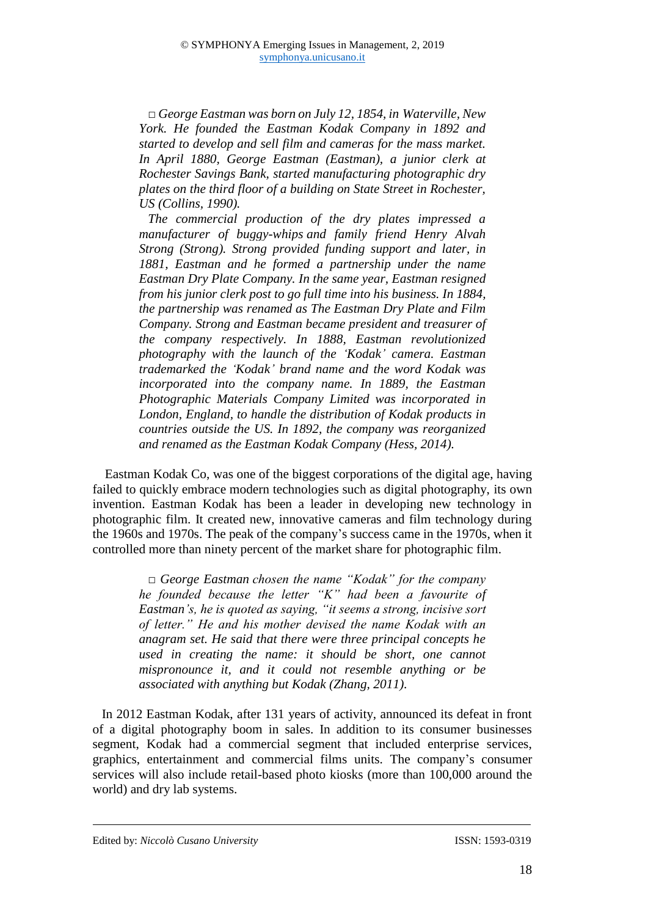*□ George Eastman was born on July 12, 1854, in [Waterville, New](http://en.wikipedia.org/wiki/Waterville,_New_York)  [York.](http://en.wikipedia.org/wiki/Waterville,_New_York) He founded the Eastman Kodak Company in 1892 and started to develop and sell film and cameras for the mass market. In April 1880, George Eastman (Eastman), a junior clerk at Rochester Savings Bank, started manufacturing photographic dry plates on the third floor of a building on State Street in Rochester, US (Collins, 1990).* 

*The commercial production of the dry plates impressed a manufacturer of buggy-whips and family friend Henry Alvah Strong (Strong). Strong provided funding support and later, in 1881, Eastman and he formed a partnership under the name Eastman Dry Plate Company. In the same year, Eastman resigned from his junior clerk post to go full time into his business. In 1884, the partnership was renamed as The Eastman Dry Plate and Film Company. Strong and Eastman became president and treasurer of the company respectively. In 1888, Eastman revolutionized photography with the launch of the 'Kodak' camera. Eastman trademarked the 'Kodak' brand name and the word Kodak was incorporated into the company name. In 1889, the Eastman Photographic Materials Company Limited was incorporated in London, England, to handle the distribution of Kodak products in countries outside the US. In 1892, the company was reorganized and renamed as the Eastman Kodak Company (Hess, 2014).*

Eastman Kodak Co, was one of the biggest corporations of the digital age, having failed to quickly embrace modern technologies such as digital photography, its own invention. Eastman Kodak has been a leader in developing new technology in photographic film. It created new, innovative cameras and film technology during the 1960s and 1970s. The peak of the company's success came in the 1970s, when it controlled more than ninety percent of the market share for photographic film.

> *□ [George Eastman](https://en.wikipedia.org/wiki/George_Eastman) chosen the name "Kodak" for the company he founded because the letter "K" had been a favourite of Eastman's, he is quoted as saying, "it seems a strong, incisive sort of letter." He and his mother devised the name Kodak with an anagram set. He said that there were three principal concepts he used in creating the name: it should be short, one cannot mispronounce it, and it could not resemble anything or be associated with anything but Kodak (Zhang, 2011).*

In 2012 Eastman Kodak, after 131 years of activity, announced its defeat in front of a digital photography boom in sales. In addition to its consumer businesses segment, Kodak had a commercial segment that included enterprise services, graphics, entertainment and commercial films units. The company's consumer services will also include retail-based photo kiosks (more than 100,000 around the world) and dry lab systems.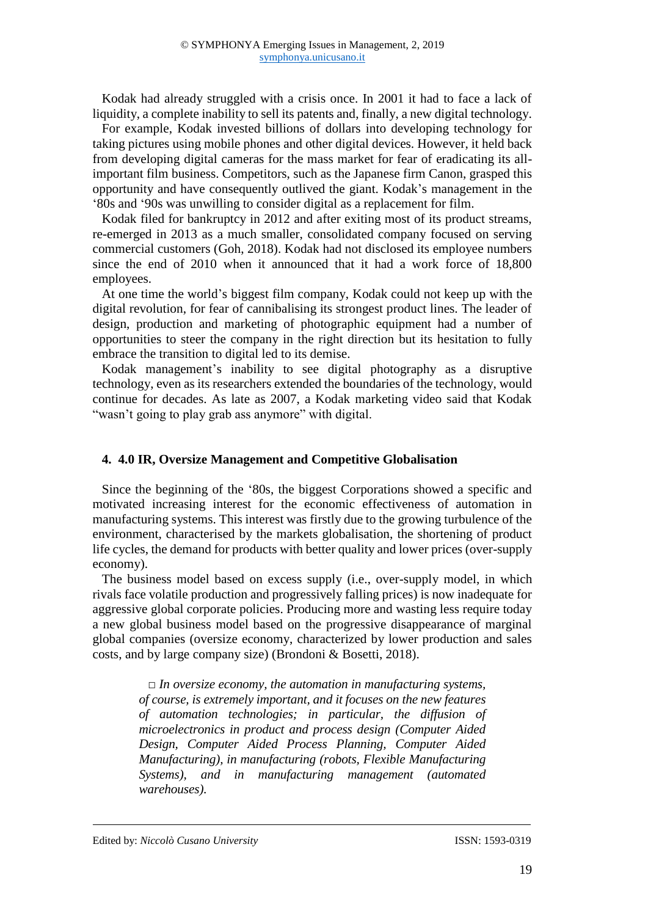Kodak had already struggled with a crisis once. In 2001 it had to face a lack of liquidity, a complete inability to sell its patents and, finally, a new digital technology.

For example, Kodak invested billions of dollars into developing technology for taking pictures using mobile phones and other digital devices. However, it held back from developing digital cameras for the mass market for fear of eradicating its allimportant film business. Competitors, such as the Japanese firm Canon, grasped this opportunity and have consequently outlived the giant. Kodak's management in the '80s and '90s was unwilling to consider digital as a replacement for film.

Kodak filed for bankruptcy in 2012 and after exiting most of its product streams, re-emerged in 2013 as a much smaller, consolidated company focused on serving commercial customers [\(Goh,](https://www.collectivecampus.io/authors/frances-goh) 2018). Kodak had not disclosed its employee numbers since the end of 2010 when it announced that it had a work force of 18,800 employees.

At one time the world's biggest film company, Kodak could not keep up with the digital revolution, for fear of cannibalising its strongest product lines. The leader of design, production and marketing of photographic equipment had a number o[f](https://hbr.org/2016/07/kodaks-downfall-wasnt-about-technology) [opportunities to steer the company in the right direction](https://hbr.org/2016/07/kodaks-downfall-wasnt-about-technology) but its hesitation to fully embrace the transition to digital led to its demise.

Kodak management's inability to see digital photography as a disruptive technology, even as its researchers extended the boundaries of the technology, would continue for decades. As late as 2007, a Kodak marketing video said that Kodak "wasn't going to play grab ass anymore" with digital.

#### **4. 4.0 IR, Oversize Management and Competitive Globalisation**

Since the beginning of the '80s, the biggest Corporations showed a specific and motivated increasing interest for the economic effectiveness of automation in manufacturing systems. This interest was firstly due to the growing turbulence of the environment, characterised by the markets globalisation, the shortening of product life cycles, the demand for products with better quality and lower prices (over-supply economy).

The business model based on excess supply (i.e., over-supply model, in which rivals face volatile production and progressively falling prices) is now inadequate for aggressive global corporate policies. Producing more and wasting less require today a new global business model based on the progressive disappearance of marginal global companies (oversize economy, characterized by lower production and sales costs, and by large company size) (Brondoni & Bosetti, 2018).

> *□ In oversize economy, the automation in manufacturing systems, of course, is extremely important, and it focuses on the new features of automation technologies; in particular, the diffusion of microelectronics in product and process design (Computer Aided Design, Computer Aided Process Planning, Computer Aided Manufacturing), in manufacturing (robots, Flexible Manufacturing Systems), and in manufacturing management (automated warehouses).*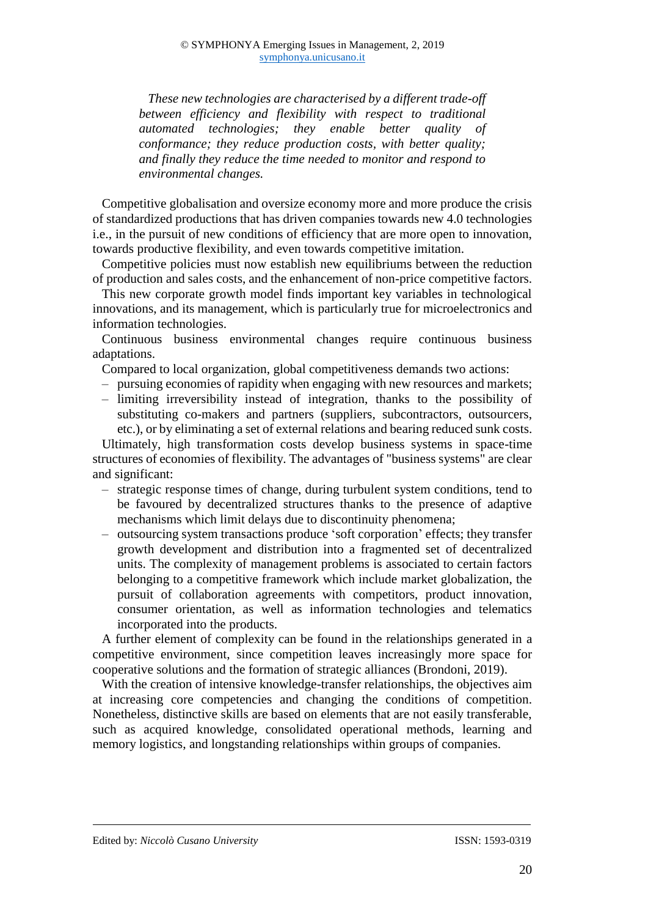*These new technologies are characterised by a different trade-off between efficiency and flexibility with respect to traditional automated technologies; they enable better quality of conformance; they reduce production costs, with better quality; and finally they reduce the time needed to monitor and respond to environmental changes.*

Competitive globalisation and oversize economy more and more produce the crisis of standardized productions that has driven companies towards new 4.0 technologies i.e., in the pursuit of new conditions of efficiency that are more open to innovation, towards productive flexibility, and even towards competitive imitation.

Competitive policies must now establish new equilibriums between the reduction of production and sales costs, and the enhancement of non-price competitive factors.

This new corporate growth model finds important key variables in technological innovations, and its management, which is particularly true for microelectronics and information technologies.

Continuous business environmental changes require continuous business adaptations.

Compared to local organization, global competitiveness demands two actions:

- ‒ pursuing economies of rapidity when engaging with new resources and markets;
- ‒ limiting irreversibility instead of integration, thanks to the possibility of substituting co-makers and partners (suppliers, subcontractors, outsourcers, etc.), or by eliminating a set of external relations and bearing reduced sunk costs.

Ultimately, high transformation costs develop business systems in space-time structures of economies of flexibility. The advantages of "business systems" are clear and significant:

- ‒ strategic response times of change, during turbulent system conditions, tend to be favoured by decentralized structures thanks to the presence of adaptive mechanisms which limit delays due to discontinuity phenomena;
- ‒ outsourcing system transactions produce 'soft corporation' effects; they transfer growth development and distribution into a fragmented set of decentralized units. The complexity of management problems is associated to certain factors belonging to a competitive framework which include market globalization, the pursuit of collaboration agreements with competitors, product innovation, consumer orientation, as well as information technologies and telematics incorporated into the products.

A further element of complexity can be found in the relationships generated in a competitive environment, since competition leaves increasingly more space for cooperative solutions and the formation of strategic alliances (Brondoni, 2019).

With the creation of intensive knowledge-transfer relationships, the objectives aim at increasing core competencies and changing the conditions of competition. Nonetheless, distinctive skills are based on elements that are not easily transferable, such as acquired knowledge, consolidated operational methods, learning and memory logistics, and longstanding relationships within groups of companies.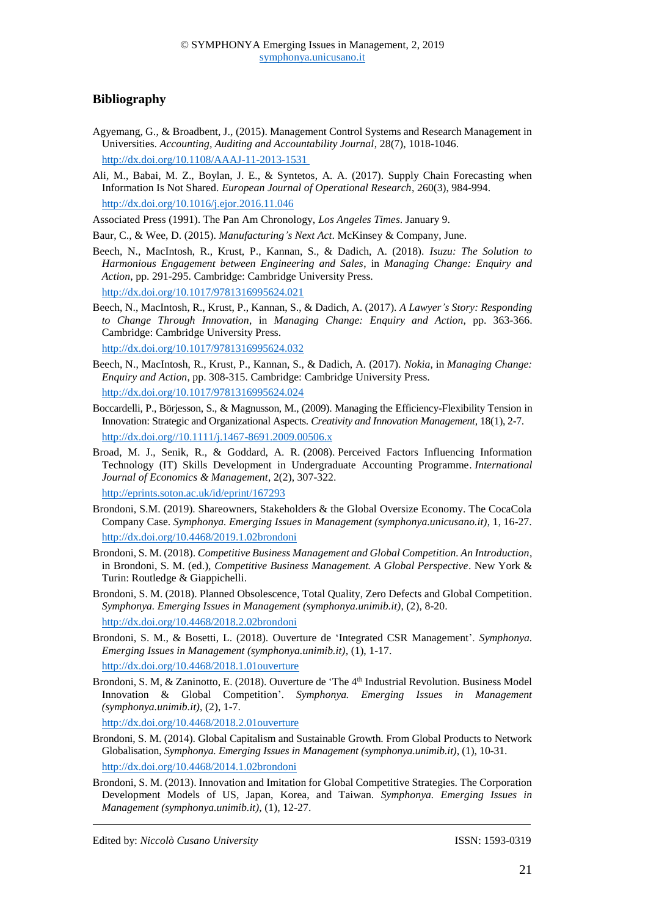## **Bibliography**

- [Agyemang, G.,](https://pure.royalholloway.ac.uk/portal/en/persons/gloria-agyemang(b2e0c74b-49e6-44e4-b243-d30e022f3900).html) & [Broadbent, J.,](https://pure.royalholloway.ac.uk/portal/en/persons/jane-broadbent(379d4f99-3db5-4a5e-8039-c8aea7dbd11d).html) (2015). [Management Control Systems and Research Management in](https://pure.royalholloway.ac.uk/portal/en/publications/management-control-systems-and-research-management-in-universities(db22af1d-c83c-420d-8862-ac4e2e64db9b).html)  [Universities.](https://pure.royalholloway.ac.uk/portal/en/publications/management-control-systems-and-research-management-in-universities(db22af1d-c83c-420d-8862-ac4e2e64db9b).html) *Accounting, Auditing and Accountability Journal*, 28(7), 1018-1046. http://dx.doi.org/10.1108/AAAJ-11-2013-1531
- [Ali,](https://www.sciencedirect.com/science/article/pii/S0377221716309717#!) M., Babai, M. Z., Boylan, J. E., & Syntetos, A. A. (2017). Supply Chain Forecasting when Information Is Not Shared. *[European Journal of Operational Research](https://www.sciencedirect.com/science/journal/03772217)*, [260\(3](https://www.sciencedirect.com/science/journal/03772217/260/3)), 984-994. [http://dx.doi.org/10.1016/j.ejor.2016.11.046](http://doi.org/10.1016/j.ejor.2016.11.046)

Associated Press (1991). The Pan Am Chronology, *Los Angeles Times*. January 9.

Baur, C., & Wee, D. (2015). *Manufacturing's Next Act*. McKinsey & Company, June.

- Beech, N., MacIntosh, R., Krust, P., Kannan, S., & Dadich, A. (2018). *Isuzu: The Solution to Harmonious Engagement between Engineering and Sales*, in *Managing Change: Enquiry and Action*, pp. 291-295. Cambridge: Cambridge University Press. http://dx.doi.org/10.1017/9781316995624.021
- Beech, N., MacIntosh, R., Krust, P., Kannan, S., & Dadich, A. (2017). *A Lawyer's Story: Responding to Change Through Innovation*, in *Managing Change: Enquiry and Action*, pp. 363-366. Cambridge: Cambridge University Press. http://dx.doi.org/10.1017/9781316995624.032
- Beech, N., MacIntosh, R., Krust, P., Kannan, S., & Dadich, A. (2017). *Nokia*, in *Managing Change: Enquiry and Action*, pp. 308-315. Cambridge: Cambridge University Press. http://dx.doi.org/10.1017/9781316995624.024
- Boccardelli, P., Börjesson, S., & Magnusson, M., (2009). Managing the Efficiency-Flexibility Tension in Innovation: Strategic and Organizational Aspects. *Creativity and Innovation Management*, 18(1), 2-7. http://dx.doi.org//10.1111/j.1467-8691.2009.00506.x
- Broad, M. J., Senik, R., & Goddard, A. R. (2008). [Perceived Factors Influencing Information](https://eprints.soton.ac.uk/cgi/eprintbypureuuid?uuid=97638430-3ee5-45b5-a05f-949abf80a9c5)  [Technology \(IT\) Skills Development in Undergraduate Accounting Programme.](https://eprints.soton.ac.uk/cgi/eprintbypureuuid?uuid=97638430-3ee5-45b5-a05f-949abf80a9c5) *International Journal of Economics & Management*, 2(2), 307-322. <http://eprints.soton.ac.uk/id/eprint/167293>
- Brondoni, S.M. (2019). Shareowners, Stakeholders & the Global Oversize Economy. The CocaCola Company Case. *Symphonya. Emerging Issues in Management (symphonya.unicusano.it)*, 1, 16-27.
- http://dx.doi.org/10.4468/2019.1.02brondoni Brondoni, S. M. (2018). *Competitive Business Management and Global Competition. An Introduction*, in Brondoni, S. M. (ed.), *Competitive Business Management. A Global Perspective*. New York &
- Turin: Routledge & Giappichelli. Brondoni, S. M. (2018). Planned Obsolescence, Total Quality, Zero Defects and Global Competition. *Symphonya. Emerging Issues in Management (symphonya.unimib.it)*, (2), 8-20.

<http://dx.doi.org/10.4468/2018.2.02brondoni>

- Brondoni, S. M., & Bosetti, L. (2018). Ouverture de 'Integrated CSR Management'. *Symphonya. Emerging Issues in Management (symphonya.unimib.it)*, (1), 1-17. <http://dx.doi.org/10.4468/2018.1.01ouverture>
- Brondoni, S. M, & Zaninotto, E. (2018). Ouverture de 'The 4<sup>th</sup> Industrial Revolution. Business Model Innovation & Global Competition'. *Symphonya. Emerging Issues in Management (symphonya.unimib.it)*, (2), 1-7.

<http://dx.doi.org/10.4468/2018.2.01ouverture>

- Brondoni, S. M. (2014). Global Capitalism and Sustainable Growth. From Global Products to Network Globalisation, *Symphonya. Emerging Issues in Management (symphonya.unimib.it)*, (1), 10-31. http://dx.doi.org/10.4468/2014.1.02brondoni
- Brondoni, S. M. (2013). Innovation and Imitation for Global Competitive Strategies. The Corporation Development Models of US, Japan, Korea, and Taiwan. *Symphonya. Emerging Issues in Management (symphonya.unimib.it)*, (1), 12-27.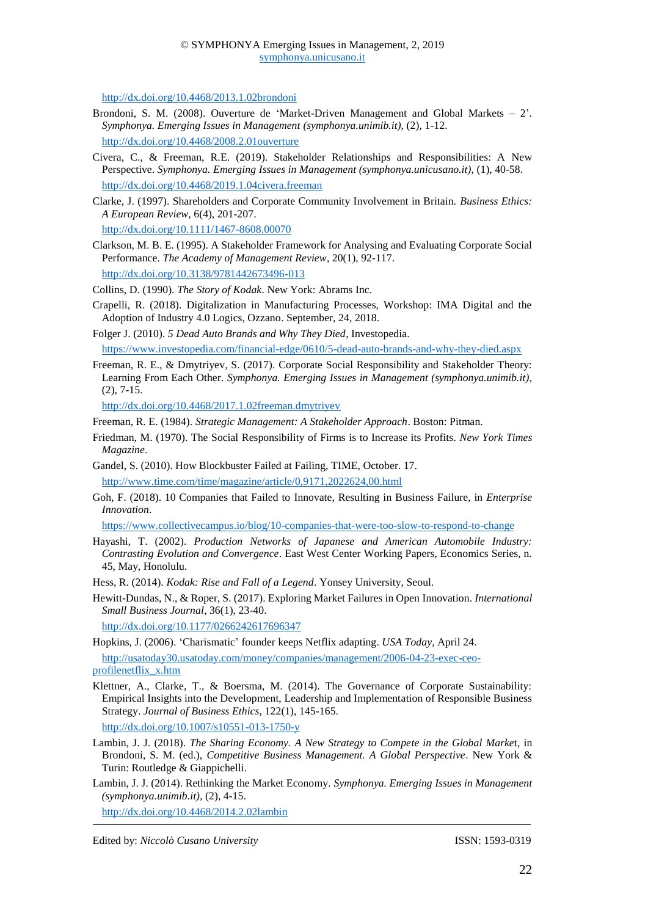http://dx.doi.org/10.4468/2013.1.02brondoni

- Brondoni, S. M. (2008). Ouverture de 'Market-Driven Management and Global Markets 2'. *Symphonya. Emerging Issues in Management (symphonya.unimib.it)*, (2), 1-12. http://dx.doi.org/10.4468/2008.2.01ouverture
- Civera, C., & Freeman, R.E. (2019). Stakeholder Relationships and Responsibilities: A New Perspective. *Symphonya. Emerging Issues in Management (symphonya.unicusano.it)*, (1), 40-58. http://dx.doi.org/10.4468/2019.1.04civera.freeman
- Clarke, J. (1997). Shareholders and Corporate Community Involvement in Britain. *Business Ethics: A European Review*, 6(4), 201-207.

http://dx.doi.org/10.1111/1467-8608.00070

Clarkson, M. B. E. (1995). A Stakeholder Framework for Analysing and Evaluating Corporate Social Performance. *The Academy of Management Review*, 20(1), 92-117. <http://dx.doi.org/10.3138/9781442673496-013>

Collins, D. (1990). *The Story of Kodak*. New York: Abrams Inc.

Crapelli, R. (2018). Digitalization in Manufacturing Processes, Workshop: IMA Digital and the Adoption of Industry 4.0 Logics, Ozzano. September, 24, 2018.

Folger J. (2010). *5 Dead Auto Brands and Why They Died*, Investopedia.

<https://www.investopedia.com/financial-edge/0610/5-dead-auto-brands-and-why-they-died.aspx>

Freeman, R. E., & Dmytriyev, S. (2017). Corporate Social Responsibility and Stakeholder Theory: Learning From Each Other. *Symphonya. Emerging Issues in Management (symphonya.unimib.it)*, (2), 7-15.

<http://dx.doi.org/10.4468/2017.1.02freeman.dmytriyev>

Freeman, R. E. (1984). *Strategic Management: A Stakeholder Approach*. Boston: Pitman.

- Friedman, M. (1970). The Social Responsibility of Firms is to Increase its Profits. *New York Times Magazine*.
- Gandel, S. (2010). How Blockbuster Failed at Failing, TIME, October. 17.

<http://www.time.com/time/magazine/article/0,9171,2022624,00.html>

Goh, F. (2018). 10 Companies that Failed to Innovate, Resulting in Business Failure, in *Enterprise Innovation*.

https://www.collectivecampus.io/blog/10-companies-that-were-too-slow-to-respond-to-change

Hayashi, T. (2002). *Production Networks of Japanese and American Automobile Industry: Contrasting Evolution and Convergence*. East West Center Working Papers, Economics Series, n. 45, May, Honolulu.

Hess, R. (2014). *Kodak: Rise and Fall of a Legend*. Yonsey University, Seoul.

Hewitt-Dundas, N., & Roper, S. (2017). Exploring Market Failures in Open Innovation. *International Small Business Journal*, 36(1), 23-40.

[http://dx.doi.org/10.1177/0266242617696347](http://doi.org/10.1177/0266242617696347)

Hopkins, J. (2006). 'Charismatic' founder keeps Netflix adapting. *USA Today*, April 24. http://usatoday30.usatoday.com/money/companies/management/2006-04-23-exec-ceoprofilenetflix\_x.htm

Klettner, A., Clarke, T., & Boersma, M. (2014). The Governance of Corporate Sustainability: Empirical Insights into the Development, Leadership and Implementation of Responsible Business Strategy. *Journal of Business Ethics*, 122(1), 145-165.

<http://dx.doi.org/10.1007/s10551-013-1750-y>

Lambin, J. J. (2018). *The Sharing Economy. A New Strategy to Compete in the Global Marke*t, in Brondoni, S. M. (ed.), *Competitive Business Management. A Global Perspective*. New York & Turin: Routledge & Giappichelli.

Lambin, J. J. (2014). Rethinking the Market Economy. *Symphonya. Emerging Issues in Management (symphonya.unimib.it)*, (2), 4-15.

<http://dx.doi.org/10.4468/2014.2.02lambin>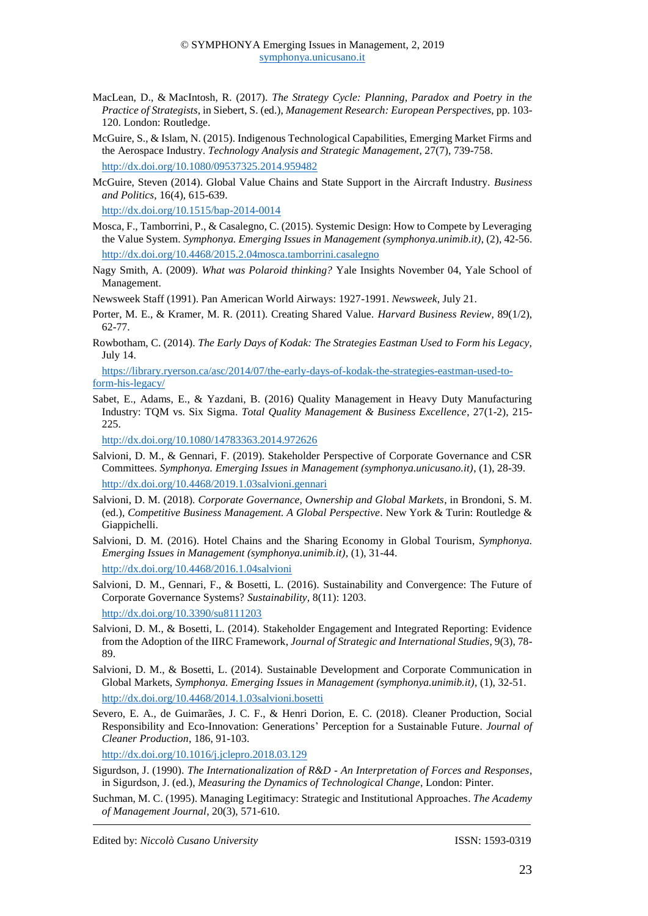- MacLean, D., & [MacIntosh, R.](https://researchportal.hw.ac.uk/en/persons/robert-macintosh) (2017). *[The Strategy Cycle: Planning, Paradox and Poetry in the](https://researchportal.hw.ac.uk/en/publications/the-strategy-cycle-planning-paradox-and-poetry-in-the-practice-of)  [Practice of Strategists](https://researchportal.hw.ac.uk/en/publications/the-strategy-cycle-planning-paradox-and-poetry-in-the-practice-of)*, in Siebert, S. (ed.), *Management Research: European Perspectives*, pp. 103- 120. London: [Routledge.](https://researchportal.hw.ac.uk/en/persons/robert-macintosh/publications/)
- McGuire, S., & Islam, N. (2015). Indigenous Technological Capabilities, Emerging Market Firms and the Aerospace Industry. *Technology Analysis and Strategic Management*, 27(7), 739-758. http://dx.doi.org/10.1080/09537325.2014.959482
- McGuire, Steven (2014). Global Value Chains and State Support in the Aircraft Industry. *Business and Politics*, 16(4), 615-639.

http://dx.doi.org/10.1515/bap-2014-0014

- Mosca, F., Tamborrini, P., & Casalegno, C. (2015). Systemic Design: How to Compete by Leveraging the Value System. *Symphonya. Emerging Issues in Management (symphonya.unimib.it)*, (2), 42-56. <http://dx.doi.org/10.4468/2015.2.04mosca.tamborrini.casalegno>
- Nagy Smith, A. (2009). *What was Polaroid thinking?* Yale Insights November 04, Yale School of Management.

Newsweek Staff (1991). Pan American World Airways: 1927-1991. *Newsweek*, July 21.

- Porter, M. E., & Kramer, M. R. (2011). Creating Shared Value. *Harvard Business Review*, 89(1/2), 62-77.
- Rowbotham, C. (2014). *The Early Days of Kodak: The Strategies Eastman Used to Form his Legacy,* July 14.

https://library.ryerson.ca/asc/2014/07/the-early-days-of-kodak-the-strategies-eastman-used-toform-his-legacy/

Sabet, E., Adams, E., & Yazdani, B. (2016) Quality Management in Heavy Duty Manufacturing Industry: TQM vs. Six Sigma. *Total Quality Management & Business Excellence*, 27(1-2), 215- 225.

<http://dx.doi.org/10.1080/14783363.2014.972626>

- Salvioni, D. M., & Gennari, F. (2019). Stakeholder Perspective of Corporate Governance and CSR Committees. *Symphonya. Emerging Issues in Management (symphonya.unicusano.it)*, (1), 28-39. http://dx.doi.org/10.4468/2019.1.03salvioni.gennari
- Salvioni, D. M. (2018). *Corporate Governance, Ownership and Global Markets*, in Brondoni, S. M. (ed.), *Competitive Business Management. A Global Perspective*. New York & Turin: Routledge & Giappichelli.
- Salvioni, D. M. (2016). Hotel Chains and the Sharing Economy in Global Tourism, *Symphonya. Emerging Issues in Management (symphonya.unimib.it)*, (1), 31-44. <http://dx.doi.org/10.4468/2016.1.04salvioni>
- Salvioni, D. M., Gennari, F., & Bosetti, L. (2016). Sustainability and Convergence: The Future of Corporate Governance Systems? *Sustainability,* 8(11): 1203.

<http://dx.doi.org/10.3390/su8111203>

- Salvioni, D. M., & Bosetti, L. (2014). Stakeholder Engagement and Integrated Reporting: Evidence from the Adoption of the IIRC Framework, *Journal of Strategic and International Studies*, 9(3), 78- 89.
- Salvioni, D. M., & Bosetti, L. (2014). Sustainable Development and Corporate Communication in Global Markets, *Symphonya. Emerging Issues in Management (symphonya.unimib.it)*, (1), 32-51. <http://dx.doi.org/10.4468/2014.1.03salvioni.bosetti>
- Severo, E. A., de Guimarães, J. C. F., & Henri Dorion, E. C. (2018). Cleaner Production, Social Responsibility and Eco-Innovation: Generations' Perception for a Sustainable Future. *Journal of Cleaner Production*, 186, 91-103.

<http://dx.doi.org/10.1016/j.jclepro.2018.03.129>

Sigurdson, J. (1990). *The Internationalization of R&D - An Interpretation of Forces and Responses*, in Sigurdson, J. (ed.), *Measuring the Dynamics of Technological Change*, London: Pinter.

Suchman, M. C. (1995). Managing Legitimacy: Strategic and Institutional Approaches. *The Academy of Management Journal*, 20(3), 571-610.